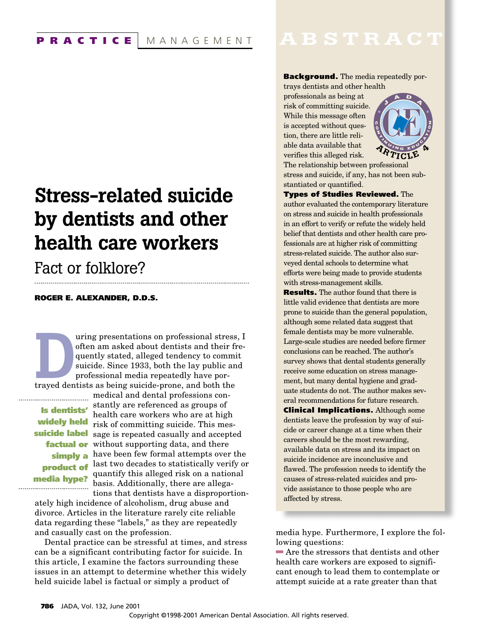# **Stress-related suicide by dentists and other health care workers**

## Fact or folklore?

#### **ROGER E. ALEXANDER, D.D.S.**

uring presentations on professional stress, I<br>often am asked about dentists and their fre-<br>quently stated, alleged tendency to commit<br>suicide. Since 1933, both the lay public and<br>professional media repeatedly have por-<br>tra often am asked about dentists and their frequently stated, alleged tendency to commit suicide. Since 1933, both the lay public and professional media repeatedly have por-

medical and dental professions con-

**widely held media hype?** ----------------------------------

stantly are referenced as groups of **Is dentists'** health care workers who are at high risk of committing suicide. This mes**suicide label** sage is repeated casually and accepted **factual or** without supporting data, and there simply a have been few formal attempts over the **product of** last two decades to statistically verify or quantify this alleged risk on a national basis. Additionally, there are allegations that dentists have a disproportion-

ately high incidence of alcoholism, drug abuse and divorce. Articles in the literature rarely cite reliable data regarding these "labels," as they are repeatedly and casually cast on the profession.

Dental practice can be stressful at times, and stress can be a significant contributing factor for suicide. In this article, I examine the factors surrounding these issues in an attempt to determine whether this widely held suicide label is factual or simply a product of

## **ABSTRACT**

### **Background.** The media repeatedly por-

trays dentists and other health professionals as being at risk of committing suicide. While this message often is accepted without question, there are little reliable data available that verifies this alleged risk.



The relationship between professional stress and suicide, if any, has not been substantiated or quantified.

**Types of Studies Reviewed.** The author evaluated the contemporary literature on stress and suicide in health professionals in an effort to verify or refute the widely held belief that dentists and other health care professionals are at higher risk of committing stress-related suicide. The author also surveyed dental schools to determine what efforts were being made to provide students with stress-management skills.

**Results.** The author found that there is little valid evidence that dentists are more prone to suicide than the general population, although some related data suggest that female dentists may be more vulnerable. Large-scale studies are needed before firmer conclusions can be reached. The author's survey shows that dental students generally receive some education on stress management, but many dental hygiene and graduate students do not. The author makes several recommendations for future research. **Clinical Implications.** Although some dentists leave the profession by way of suicide or career change at a time when their careers should be the most rewarding, available data on stress and its impact on suicide incidence are inconclusive and flawed. The profession needs to identify the causes of stress-related suicides and provide assistance to those people who are affected by stress.

media hype. Furthermore, I explore the following questions:

 $\blacksquare$  Are the stressors that dentists and other health care workers are exposed to significant enough to lead them to contemplate or attempt suicide at a rate greater than that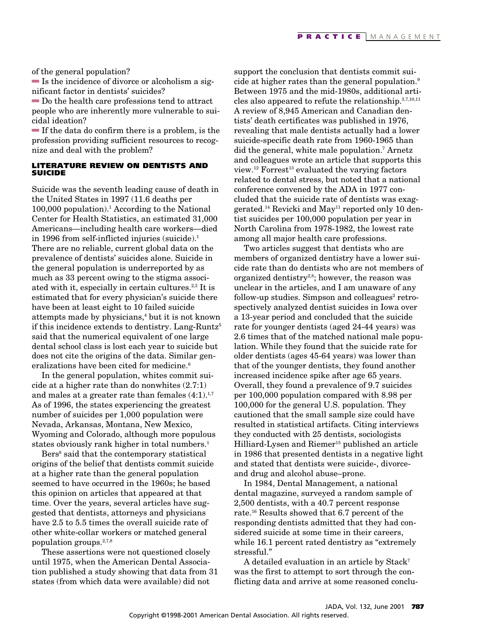of the general population?

 $\blacksquare$  Is the incidence of divorce or alcoholism a significant factor in dentists' suicides?

 $\blacksquare$  Do the health care professions tend to attract people who are inherently more vulnerable to suicidal ideation?

 $\blacksquare$  If the data do confirm there is a problem, is the profession providing sufficient resources to recognize and deal with the problem?

#### **LITERATURE REVIEW ON DENTISTS AND SUICIDE**

Suicide was the seventh leading cause of death in the United States in 1997 (11.6 deaths per 100,000 population).1 According to the National Center for Health Statistics, an estimated 31,000 Americans—including health care workers—died in 1996 from self-inflicted injuries (suicide).<sup>1</sup> There are no reliable, current global data on the prevalence of dentists' suicides alone. Suicide in the general population is underreported by as much as 33 percent owing to the stigma associated with it, especially in certain cultures.<sup>2,3</sup> It is estimated that for every physician's suicide there have been at least eight to 10 failed suicide attempts made by physicians,<sup>4</sup> but it is not known if this incidence extends to dentistry. Lang-Runtz<sup>5</sup> said that the numerical equivalent of one large dental school class is lost each year to suicide but does not cite the origins of the data. Similar generalizations have been cited for medicine.<sup>6</sup>

In the general population, whites commit suicide at a higher rate than do nonwhites (2.7:1) and males at a greater rate than females  $(4:1).^{1,7}$ As of 1996, the states experiencing the greatest number of suicides per 1,000 population were Nevada, Arkansas, Montana, New Mexico, Wyoming and Colorado, although more populous states obviously rank higher in total numbers.<sup>1</sup>

Bers<sup>8</sup> said that the contemporary statistical origins of the belief that dentists commit suicide at a higher rate than the general population seemed to have occurred in the 1960s; he based this opinion on articles that appeared at that time. Over the years, several articles have suggested that dentists, attorneys and physicians have 2.5 to 5.5 times the overall suicide rate of other white-collar workers or matched general population groups. $2,7,8$ 

These assertions were not questioned closely until 1975, when the American Dental Association published a study showing that data from 31 states (from which data were available) did not

support the conclusion that dentists commit suicide at higher rates than the general population.<sup>9</sup> Between 1975 and the mid-1980s, additional articles also appeared to refute the relationship. $3,7,10,11$ A review of 8,945 American and Canadian dentists' death certificates was published in 1976, revealing that male dentists actually had a lower suicide-specific death rate from 1960-1965 than did the general, white male population.7 Arnetz and colleagues wrote an article that supports this view.<sup>12</sup> Forrest<sup>13</sup> evaluated the varying factors related to dental stress, but noted that a national conference convened by the ADA in 1977 concluded that the suicide rate of dentists was exaggerated.<sup>14</sup> Revicki and  $May<sup>11</sup>$  reported only 10 dentist suicides per 100,000 population per year in North Carolina from 1978-1982, the lowest rate among all major health care professions.

Two articles suggest that dentists who are members of organized dentistry have a lower suicide rate than do dentists who are not members of organized dentistry<sup>2,8</sup>; however, the reason was unclear in the articles, and I am unaware of any  $follow-up$  studies. Simpson and colleagues<sup>2</sup> retrospectively analyzed dentist suicides in Iowa over a 13-year period and concluded that the suicide rate for younger dentists (aged 24-44 years) was 2.6 times that of the matched national male population. While they found that the suicide rate for older dentists (ages 45-64 years) was lower than that of the younger dentists, they found another increased incidence spike after age 65 years. Overall, they found a prevalence of 9.7 suicides per 100,000 population compared with 8.98 per 100,000 for the general U.S. population. They cautioned that the small sample size could have resulted in statistical artifacts. Citing interviews they conducted with 25 dentists, sociologists Hilliard-Lysen and Riemer<sup>15</sup> published an article in 1986 that presented dentists in a negative light and stated that dentists were suicide-, divorceand drug and alcohol abuse–prone.

In 1984, Dental Management, a national dental magazine, surveyed a random sample of 2,500 dentists, with a 40.7 percent response rate.16 Results showed that 6.7 percent of the responding dentists admitted that they had considered suicide at some time in their careers, while 16.1 percent rated dentistry as "extremely stressful."

A detailed evaluation in an article by Stack<sup>7</sup> was the first to attempt to sort through the conflicting data and arrive at some reasoned conclu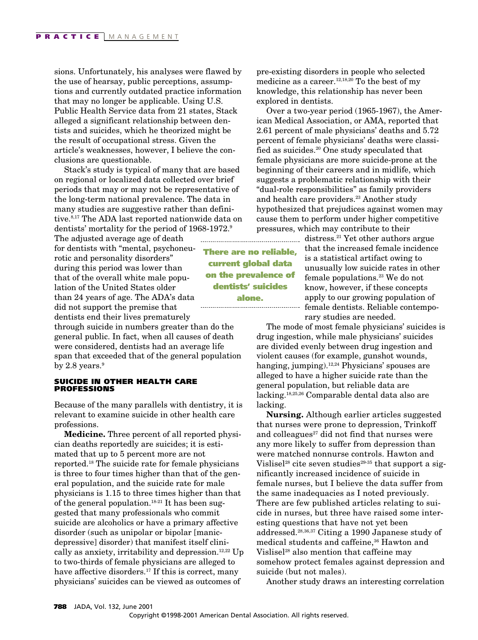sions. Unfortunately, his analyses were flawed by the use of hearsay, public perceptions, assumptions and currently outdated practice information that may no longer be applicable. Using U.S. Public Health Service data from 21 states, Stack alleged a significant relationship between dentists and suicides, which he theorized might be the result of occupational stress. Given the article's weaknesses, however, I believe the conclusions are questionable.

Stack's study is typical of many that are based on regional or localized data collected over brief periods that may or may not be representative of the long-term national prevalence. The data in many studies are suggestive rather than definitive.8,17 The ADA last reported nationwide data on dentists' mortality for the period of 1968-1972.<sup>9</sup>

The adjusted average age of death for dentists with "mental, psychoneurotic and personality disorders" during this period was lower than that of the overall white male population of the United States older than 24 years of age. The ADA's data did not support the premise that dentists end their lives prematurely

through suicide in numbers greater than do the general public. In fact, when all causes of death were considered, dentists had an average life span that exceeded that of the general population by 2.8 years. $9$ 

#### **SUICIDE IN OTHER HEALTH CARE PROFESSIONS**

Because of the many parallels with dentistry, it is relevant to examine suicide in other health care professions.

**Medicine.** Three percent of all reported physician deaths reportedly are suicides; it is estimated that up to 5 percent more are not reported.18 The suicide rate for female physicians is three to four times higher than that of the general population, and the suicide rate for male physicians is 1.15 to three times higher than that of the general population.<sup>18-21</sup> It has been suggested that many professionals who commit suicide are alcoholics or have a primary affective disorder (such as unipolar or bipolar [manicdepressive] disorder) that manifest itself clinically as anxiety, irritability and depression.<sup>12,22</sup> Up to two-thirds of female physicians are alleged to have affective disorders.<sup>17</sup> If this is correct, many physicians' suicides can be viewed as outcomes of

pre-existing disorders in people who selected medicine as a career.<sup>12,18,20</sup> To the best of my knowledge, this relationship has never been explored in dentists.

Over a two-year period (1965-1967), the American Medical Association, or AMA, reported that 2.61 percent of male physicians' deaths and 5.72 percent of female physicians' deaths were classified as suicides.20 One study speculated that female physicians are more suicide-prone at the beginning of their careers and in midlife, which suggests a problematic relationship with their "dual-role responsibilities" as family providers and health care providers.<sup>23</sup> Another study hypothesized that prejudices against women may cause them to perform under higher competitive pressures, which may contribute to their

> distress.<sup>21</sup> Yet other authors argue that the increased female incidence is a statistical artifact owing to unusually low suicide rates in other female populations.23 We do not know, however, if these concepts apply to our growing population of female dentists. Reliable contemporary studies are needed.

The mode of most female physicians' suicides is drug ingestion, while male physicians' suicides are divided evenly between drug ingestion and violent causes (for example, gunshot wounds, hanging, jumping).<sup>12,24</sup> Physicians' spouses are alleged to have a higher suicide rate than the general population, but reliable data are lacking.18,25,26 Comparable dental data also are lacking.

**Nursing.** Although earlier articles suggested that nurses were prone to depression, Trinkoff and colleagues $27$  did not find that nurses were any more likely to suffer from depression than were matched nonnurse controls. Hawton and Vislisel<sup>28</sup> cite seven studies<sup>29-35</sup> that support a significantly increased incidence of suicide in female nurses, but I believe the data suffer from the same inadequacies as I noted previously. There are few published articles relating to suicide in nurses, but three have raised some interesting questions that have not yet been addressed.28,36,37 Citing a 1990 Japanese study of medical students and caffeine,<sup>36</sup> Hawton and Vislisel<sup>28</sup> also mention that caffeine may somehow protect females against depression and suicide (but not males).

Another study draws an interesting correlation

**There are no reliable, current global data on the prevalence of dentists' suicides alone.**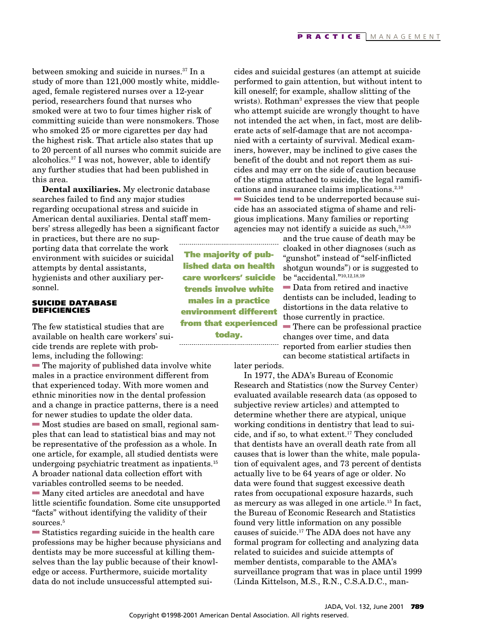between smoking and suicide in nurses.37 In a study of more than 121,000 mostly white, middleaged, female registered nurses over a 12-year period, researchers found that nurses who smoked were at two to four times higher risk of committing suicide than were nonsmokers. Those who smoked 25 or more cigarettes per day had the highest risk. That article also states that up to 20 percent of all nurses who commit suicide are alcoholics.37 I was not, however, able to identify any further studies that had been published in this area.

**Dental auxiliaries.** My electronic database searches failed to find any major studies regarding occupational stress and suicide in American dental auxiliaries. Dental staff members' stress allegedly has been a significant factor

in practices, but there are no supporting data that correlate the work environment with suicides or suicidal attempts by dental assistants, hygienists and other auxiliary personnel.

#### **SUICIDE DATABASE DEFICIENCIES**

The few statistical studies that are available on health care workers' suicide trends are replete with problems, including the following:

 $\blacksquare$  The majority of published data involve white males in a practice environment different from that experienced today. With more women and ethnic minorities now in the dental profession and a change in practice patterns, there is a need for newer studies to update the older data.

 $\blacksquare$  Most studies are based on small, regional samples that can lead to statistical bias and may not be representative of the profession as a whole. In one article, for example, all studied dentists were undergoing psychiatric treatment as inpatients. $15$ A broader national data collection effort with variables controlled seems to be needed.

 $\blacksquare$  Many cited articles are anecdotal and have little scientific foundation. Some cite unsupported "facts" without identifying the validity of their sources.<sup>5</sup>

 $\blacksquare$  Statistics regarding suicide in the health care professions may be higher because physicians and dentists may be more successful at killing themselves than the lay public because of their knowledge or access. Furthermore, suicide mortality data do not include unsuccessful attempted sui-

cides and suicidal gestures (an attempt at suicide performed to gain attention, but without intent to kill oneself; for example, shallow slitting of the wrists). Rothman<sup>3</sup> expresses the view that people who attempt suicide are wrongly thought to have not intended the act when, in fact, most are deliberate acts of self-damage that are not accompanied with a certainty of survival. Medical examiners, however, may be inclined to give cases the benefit of the doubt and not report them as suicides and may err on the side of caution because of the stigma attached to suicide, the legal ramifications and insurance claims implications.<sup>2,10</sup>  $\blacksquare$  Suicides tend to be underreported because suicide has an associated stigma of shame and religious implications. Many families or reporting agencies may not identify a suicide as such, $3,8,10$ 

> and the true cause of death may be cloaked in other diagnoses (such as "gunshot" instead of "self-inflicted shotgun wounds") or is suggested to be "accidental."10,12,18,19

 $\blacksquare$  Data from retired and inactive dentists can be included, leading to distortions in the data relative to those currently in practice.  $\blacksquare$  There can be professional practice changes over time, and data reported from earlier studies then can become statistical artifacts in

later periods.

In 1977, the ADA's Bureau of Economic Research and Statistics (now the Survey Center) evaluated available research data (as opposed to subjective review articles) and attempted to determine whether there are atypical, unique working conditions in dentistry that lead to suicide, and if so, to what extent.<sup>17</sup> They concluded that dentists have an overall death rate from all causes that is lower than the white, male population of equivalent ages, and 73 percent of dentists actually live to be 64 years of age or older. No data were found that suggest excessive death rates from occupational exposure hazards, such as mercury as was alleged in one article.15 In fact, the Bureau of Economic Research and Statistics found very little information on any possible causes of suicide.<sup>17</sup> The ADA does not have any formal program for collecting and analyzing data related to suicides and suicide attempts of member dentists, comparable to the AMA's surveillance program that was in place until 1999 (Linda Kittelson, M.S., R.N., C.S.A.D.C., man-

**The majority of published data on health care workers' suicide trends involve white males in a practice environment different from that experienced today.**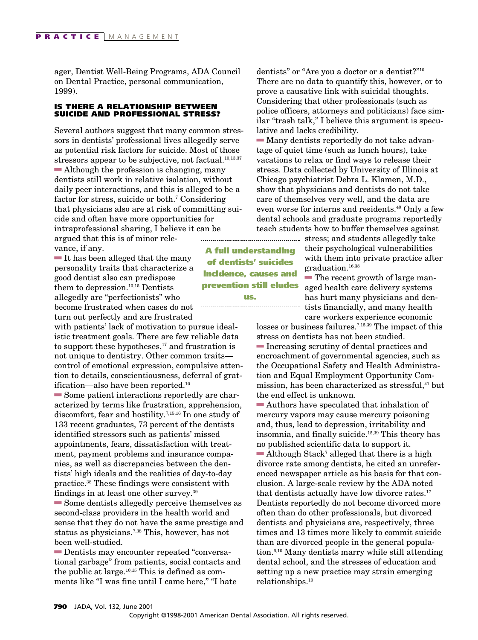ager, Dentist Well-Being Programs, ADA Council on Dental Practice, personal communication, 1999).

#### **IS THERE A RELATIONSHIP BETWEEN SUICIDE AND PROFESSIONAL STRESS?**

Several authors suggest that many common stressors in dentists' professional lives allegedly serve as potential risk factors for suicide. Most of those stressors appear to be subjective, not factual. $10,13,37$  $\blacksquare$  Although the profession is changing, many dentists still work in relative isolation, without daily peer interactions, and this is alleged to be a factor for stress, suicide or both.<sup>7</sup> Considering that physicians also are at risk of committing suicide and often have more opportunities for intraprofessional sharing, I believe it can be argued that this is of minor relevance, if any.

 $\blacksquare$  It has been alleged that the many personality traits that characterize a good dentist also can predispose them to depression.<sup>10,15</sup> Dentists allegedly are "perfectionists" who become frustrated when cases do not turn out perfectly and are frustrated

with patients' lack of motivation to pursue idealistic treatment goals. There are few reliable data to support these hypotheses, $17$  and frustration is not unique to dentistry. Other common traits control of emotional expression, compulsive attention to details, conscientiousness, deferral of gratification—also have been reported.<sup>10</sup>

 $\blacksquare$  Some patient interactions reportedly are characterized by terms like frustration, apprehension, discomfort, fear and hostility.7,15,16 In one study of 133 recent graduates, 73 percent of the dentists identified stressors such as patients' missed appointments, fears, dissatisfaction with treatment, payment problems and insurance companies, as well as discrepancies between the dentists' high ideals and the realities of day-to-day practice.38 These findings were consistent with findings in at least one other survey.39

 $\blacksquare$  Some dentists allegedly perceive themselves as second-class providers in the health world and sense that they do not have the same prestige and status as physicians.<sup>7,38</sup> This, however, has not been well-studied.

**Dentists may encounter repeated "conversa**tional garbage" from patients, social contacts and the public at large. $10,15$  This is defined as comments like "I was fine until I came here," "I hate

dentists" or "Are you a doctor or a dentist?"10 There are no data to quantify this, however, or to prove a causative link with suicidal thoughts. Considering that other professionals (such as police officers, attorneys and politicians) face similar "trash talk," I believe this argument is speculative and lacks credibility.

 $\blacksquare$  Many dentists reportedly do not take advantage of quiet time (such as lunch hours), take vacations to relax or find ways to release their stress. Data collected by University of Illinois at Chicago psychiatrist Debra L. Klamen, M.D., show that physicians and dentists do not take care of themselves very well, and the data are even worse for interns and residents.40 Only a few dental schools and graduate programs reportedly teach students how to buffer themselves against

stress; and students allegedly take their psychological vulnerabilities with them into private practice after graduation.16,38

 $\blacksquare$  The recent growth of large managed health care delivery systems has hurt many physicians and dentists financially, and many health care workers experience economic

losses or business failures.<sup>7,15,39</sup> The impact of this stress on dentists has not been studied.  $\blacksquare$  Increasing scrutiny of dental practices and encroachment of governmental agencies, such as the Occupational Safety and Health Administration and Equal Employment Opportunity Commission, has been characterized as stressful,<sup>41</sup> but the end effect is unknown.

 $\blacksquare$  Authors have speculated that inhalation of mercury vapors may cause mercury poisoning and, thus, lead to depression, irritability and insomnia, and finally suicide.15,39 This theory has no published scientific data to support it.  $\blacksquare$  Although Stack<sup>7</sup> alleged that there is a high divorce rate among dentists, he cited an unreferenced newspaper article as his basis for that conclusion. A large-scale review by the ADA noted that dentists actually have low divorce rates.<sup>17</sup> Dentists reportedly do not become divorced more often than do other professionals, but divorced dentists and physicians are, respectively, three times and 13 times more likely to commit suicide than are divorced people in the general population.6,10 Many dentists marry while still attending dental school, and the stresses of education and setting up a new practice may strain emerging relationships.10

**A full understanding of dentists' suicides incidence, causes and prevention still eludes**

**us.**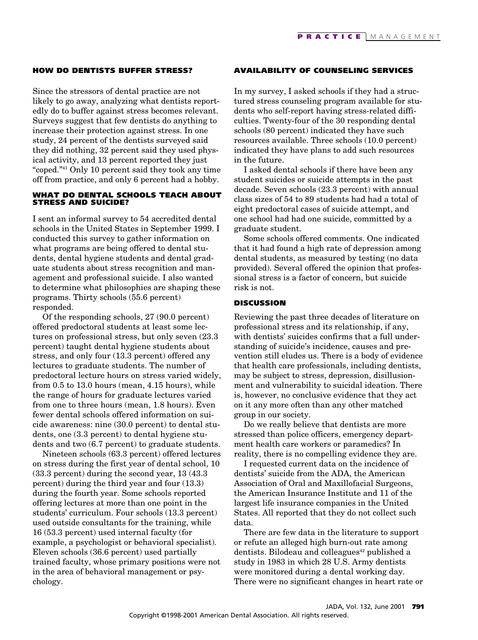#### **HOW DO DENTISTS BUFFER STRESS?**

Since the stressors of dental practice are not likely to go away, analyzing what dentists reportedly do to buffer against stress becomes relevant. Surveys suggest that few dentists do anything to increase their protection against stress. In one study, 24 percent of the dentists surveyed said they did nothing, 32 percent said they used physical activity, and 13 percent reported they just "coped."41 Only 10 percent said they took any time off from practice, and only 6 percent had a hobby.

#### **WHAT DO DENTAL SCHOOLS TEACH ABOUT STRESS AND SUICIDE?**

I sent an informal survey to 54 accredited dental schools in the United States in September 1999. I conducted this survey to gather information on what programs are being offered to dental students, dental hygiene students and dental graduate students about stress recognition and management and professional suicide. I also wanted to determine what philosophies are shaping these programs. Thirty schools (55.6 percent) responded.

Of the responding schools, 27 (90.0 percent) offered predoctoral students at least some lectures on professional stress, but only seven (23.3 percent) taught dental hygiene students about stress, and only four (13.3 percent) offered any lectures to graduate students. The number of predoctoral lecture hours on stress varied widely, from 0.5 to 13.0 hours (mean, 4.15 hours), while the range of hours for graduate lectures varied from one to three hours (mean, 1.8 hours). Even fewer dental schools offered information on suicide awareness: nine (30.0 percent) to dental students, one (3.3 percent) to dental hygiene students and two (6.7 percent) to graduate students.

Nineteen schools (63.3 percent) offered lectures on stress during the first year of dental school, 10 (33.3 percent) during the second year, 13 (43.3 percent) during the third year and four (13.3) during the fourth year. Some schools reported offering lectures at more than one point in the students' curriculum. Four schools (13.3 percent) used outside consultants for the training, while 16 (53.3 percent) used internal faculty (for example, a psychologist or behavioral specialist). Eleven schools (36.6 percent) used partially trained faculty, whose primary positions were not in the area of behavioral management or psychology.

#### **AVAILABILITY OF COUNSELING SERVICES**

In my survey, I asked schools if they had a structured stress counseling program available for students who self-report having stress-related difficulties. Twenty-four of the 30 responding dental schools (80 percent) indicated they have such resources available. Three schools (10.0 percent) indicated they have plans to add such resources in the future.

I asked dental schools if there have been any student suicides or suicide attempts in the past decade. Seven schools (23.3 percent) with annual class sizes of 54 to 89 students had had a total of eight predoctoral cases of suicide attempt, and one school had had one suicide, committed by a graduate student.

Some schools offered comments. One indicated that it had found a high rate of depression among dental students, as measured by testing (no data provided). Several offered the opinion that professional stress is a factor of concern, but suicide risk is not.

#### **DISCUSSION**

Reviewing the past three decades of literature on professional stress and its relationship, if any, with dentists' suicides confirms that a full understanding of suicide's incidence, causes and prevention still eludes us. There is a body of evidence that health care professionals, including dentists, may be subject to stress, depression, disillusionment and vulnerability to suicidal ideation. There is, however, no conclusive evidence that they act on it any more often than any other matched group in our society.

Do we really believe that dentists are more stressed than police officers, emergency department health care workers or paramedics? In reality, there is no compelling evidence they are.

I requested current data on the incidence of dentists' suicide from the ADA, the American Association of Oral and Maxillofacial Surgeons, the American Insurance Institute and 11 of the largest life insurance companies in the United States. All reported that they do not collect such data.

There are few data in the literature to support or refute an alleged high burn-out rate among dentists. Bilodeau and colleagues<sup>42</sup> published a study in 1983 in which 28 U.S. Army dentists were monitored during a dental working day. There were no significant changes in heart rate or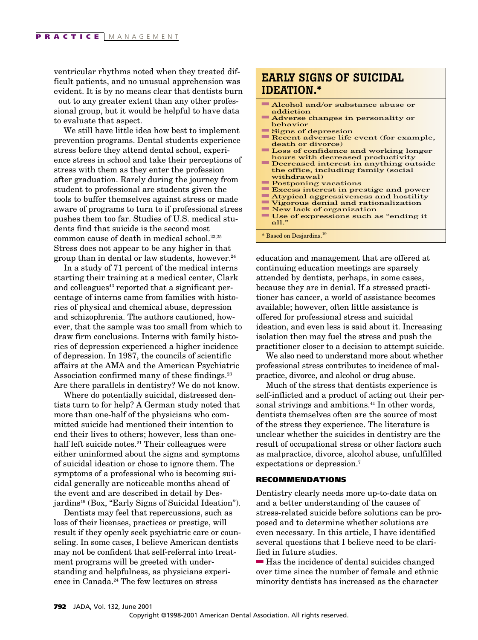ventricular rhythms noted when they treated difficult patients, and no unusual apprehension was evident. It is by no means clear that dentists burn out to any greater extent than any other professional group, but it would be helpful to have data to evaluate that aspect.

We still have little idea how best to implement prevention programs. Dental students experience stress before they attend dental school, experience stress in school and take their perceptions of stress with them as they enter the profession after graduation. Rarely during the journey from student to professional are students given the tools to buffer themselves against stress or made aware of programs to turn to if professional stress pushes them too far. Studies of U.S. medical students find that suicide is the second most common cause of death in medical school.<sup>23,25</sup> Stress does not appear to be any higher in that group than in dental or law students, however. $24$ 

In a study of 71 percent of the medical interns starting their training at a medical center, Clark and colleagues<sup>43</sup> reported that a significant percentage of interns came from families with histories of physical and chemical abuse, depression and schizophrenia. The authors cautioned, however, that the sample was too small from which to draw firm conclusions. Interns with family histories of depression experienced a higher incidence of depression. In 1987, the councils of scientific affairs at the AMA and the American Psychiatric Association confirmed many of these findings. $23$ Are there parallels in dentistry? We do not know.

Where do potentially suicidal, distressed dentists turn to for help? A German study noted that more than one-half of the physicians who committed suicide had mentioned their intention to end their lives to others; however, less than onehalf left suicide notes.<sup>21</sup> Their colleagues were either uninformed about the signs and symptoms of suicidal ideation or chose to ignore them. The symptoms of a professional who is becoming suicidal generally are noticeable months ahead of the event and are described in detail by Desjardins19 (Box, "Early Signs of Suicidal Ideation").

Dentists may feel that repercussions, such as loss of their licenses, practices or prestige, will result if they openly seek psychiatric care or counseling. In some cases, I believe American dentists may not be confident that self-referral into treatment programs will be greeted with understanding and helpfulness, as physicians experience in Canada.<sup>24</sup> The few lectures on stress

### **EARLY SIGNS OF SUICIDAL IDEATION.\***

- $\blacksquare$  Alcohol and/or substance abuse or addiction
- **Adverse changes in personality or** behavior
- $\blacksquare$  Signs of depression
- Recent adverse life event (for example, death or divorce)
- **Loss of confidence and working longer** hours with decreased productivity
- $\blacksquare$  Decreased interest in anything outside the office, including family (social withdrawal)
- **Postponing vacations**
- Excess interest in prestige and power
- $\blacksquare$  Atypical aggressiveness and hostility
- dVigorous denial and rationalization
- New lack of organization
- Use of expressions such as "ending it all."
- \* Based on Desjardins.<sup>19</sup>

education and management that are offered at continuing education meetings are sparsely attended by dentists, perhaps, in some cases, because they are in denial. If a stressed practitioner has cancer, a world of assistance becomes available; however, often little assistance is offered for professional stress and suicidal ideation, and even less is said about it. Increasing isolation then may fuel the stress and push the practitioner closer to a decision to attempt suicide.

We also need to understand more about whether professional stress contributes to incidence of malpractice, divorce, and alcohol or drug abuse.

Much of the stress that dentists experience is self-inflicted and a product of acting out their personal strivings and ambitions.<sup>41</sup> In other words, dentists themselves often are the source of most of the stress they experience. The literature is unclear whether the suicides in dentistry are the result of occupational stress or other factors such as malpractice, divorce, alcohol abuse, unfulfilled expectations or depression.<sup>7</sup>

#### **RECOMMENDATIONS**

Dentistry clearly needs more up-to-date data on and a better understanding of the causes of stress-related suicide before solutions can be proposed and to determine whether solutions are even necessary. In this article, I have identified several questions that I believe need to be clarified in future studies.

 $\blacksquare$  Has the incidence of dental suicides changed over time since the number of female and ethnic minority dentists has increased as the character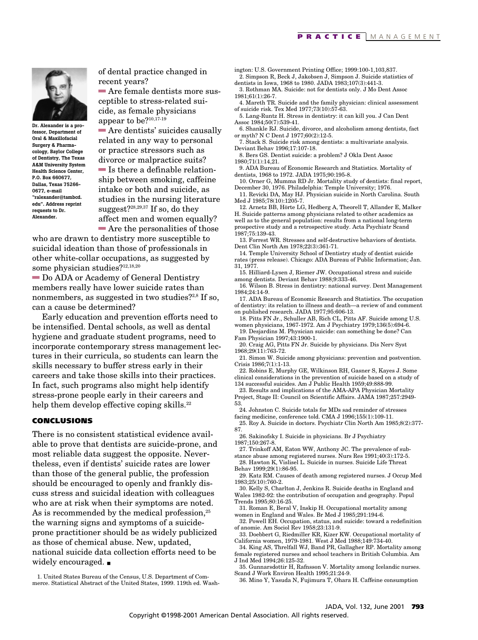

**Dr. Alexander is a professor, Department of Oral & Maxillofacial Surgery & Pharmacology, Baylor College of Dentistry, The Texas A&M University System Health Science Center, P.O. Box 660677, Dallas, Texas 75266- 0677, e-mail "ralexander@tambcd. edu". Address reprint requests to Dr. Alexander.**

of dental practice changed in recent years?

 $\blacksquare$  Are female dentists more susceptible to stress-related suicide, as female physicians appear to be?10,17-19

 $\blacksquare$  Are dentists' suicides causally related in any way to personal or practice stressors such as divorce or malpractice suits?  $\blacksquare$  Is there a definable relationship between smoking, caffeine intake or both and suicide, as studies in the nursing literature suggest? $28,29,37$  If so, do they affect men and women equally?

 $\blacksquare$  Are the personalities of those who are drawn to dentistry more susceptible to suicidal ideation than those of professionals in other white-collar occupations, as suggested by some physician studies?12,18,20

 $\blacksquare$  Do ADA or Academy of General Dentistry members really have lower suicide rates than nonmembers, as suggested in two studies? $2.8$  If so, can a cause be determined?

Early education and prevention efforts need to be intensified. Dental schools, as well as dental hygiene and graduate student programs, need to incorporate contemporary stress management lectures in their curricula, so students can learn the skills necessary to buffer stress early in their careers and take those skills into their practices. In fact, such programs also might help identify stress-prone people early in their careers and help them develop effective coping skills.<sup>22</sup>

#### **CONCLUSIONS**

There is no consistent statistical evidence available to prove that dentists are suicide-prone, and most reliable data suggest the opposite. Nevertheless, even if dentists' suicide rates are lower than those of the general public, the profession should be encouraged to openly and frankly discuss stress and suicidal ideation with colleagues who are at risk when their symptoms are noted. As is recommended by the medical profession, $25$ the warning signs and symptoms of a suicideprone practitioner should be as widely publicized as those of chemical abuse. New, updated, national suicide data collection efforts need to be widely encouraged. ■

1. United States Bureau of the Census, U.S. Department of Commerce. Statistical Abstract of the United States, 1999. 119th ed. Washington: U.S. Government Printing Office; 1999:100-1,103,837. 2. Simpson R, Beck J, Jakobsen J, Simpson J. Suicide statistics of dentists in Iowa, 1968 to 1980. JADA 1983;107(3):441-3.

3. Rothman MA. Suicide: not for dentists only. J Mo Dent Assoc 1981;61(1):26-7.

4. Mareth TR. Suicide and the family physician: clinical assessment of suicide risk. Tex Med 1977;73(10):57-63.

5. Lang-Runtz H. Stress in dentistry: it can kill you. J Can Dent Assoc 1984;50(7):539-41.

6. Shankle RJ. Suicide, divorce, and alcoholism among dentists, fact or myth? N C Dent J 1977;60(2):12-5.

7. Stack S. Suicide risk among dentists: a multivariate analysis. Deviant Behav 1996;17:107-18.

8. Bers GS. Dentist suicide: a problem? J Okla Dent Assoc 1980;71(1):14,21.

9. ADA Bureau of Economic Research and Statistics. Mortality of dentists, 1968 to 1972. JADA 1975;90:195-8.

10. Orner G, Mumma RD Jr. Mortality study of dentists: final report, December 30, 1976. Philadelphia: Temple University; 1976.

11. Revicki DA, May HJ. Physician suicide in North Carolina. South Med J 1985;78(10):1205-7.

12. Arnetz BB, Hörte LG, Hedberg A, Theorell T, Allander E, Malker H. Suicide patterns among physicians related to other academics as well as to the general population: results from a national long-term prospective study and a retrospective study. Acta Psychiatr Scand 1987;75:139-43.

13. Forrest WR. Stresses and self-destructive behaviors of dentists. Dent Clin North Am 1978;22(3):361-71.

14. Temple University School of Dentistry study of dentist suicide rates (press release). Chicago: ADA Bureau of Public Information; Jan. 31, 1977.

15. Hilliard-Lysen J, Riemer JW. Occupational stress and suicide among dentists. Deviant Behav 1988;9:333-46.

16. Wilson B. Stress in dentistry: national survey. Dent Management 1984;24:14-9.

17. ADA Bureau of Economic Research and Statistics. The occupation of dentistry: its relation to illness and death—a review of and comment on published research. JADA 1977;95:606-13.

18. Pitts FN Jr., Schuller AB, Rich CL, Pitts AF. Suicide among U.S. women physicians, 1967-1972. Am J Psychiatry 1979;136(5):694-6.

19. Desjardins M. Physician suicide: can something be done? Can Fam Physician 1997;43:1900-1.

20. Craig AG, Pitts FN Jr. Suicide by physicians. Dis Nerv Syst 1968;29(11):763-72.

21. Simon W. Suicide among physicians: prevention and postvention. Crisis 1986;7(1):1-13.

22. Robins E, Murphy GE, Wilkinson RH, Gasner S, Kayes J. Some clinical considerations in the prevention of suicide based on a study of 134 successful suicides. Am J Public Health 1959;49:888-99.

23. Results and implications of the AMA-APA Physician Mortality Project, Stage II: Council on Scientific Affairs. JAMA 1987;257:2949- 53.

24. Johnston C. Suicide totals for MDs sad reminder of stresses facing medicine, conference told. CMA J 1996;155(1):109-11.

25. Roy A. Suicide in doctors. Psychiatr Clin North Am 1985;8(2):377- 87.

26. Sakinofsky I. Suicide in physicians. Br J Psychiatry 1987;150:267-8.

27. Trinkoff AM, Eaton WW, Anthony JC. The prevalence of sub-

stance abuse among registered nurses. Nurs Res 1991;40(3):172-5. 28. Hawton K, Vislisel L. Suicide in nurses. Suicide Life Threat Behav 1999;29(1):86-95.

29. Katz RM. Causes of death among registered nurses. J Occup Med 1983;25(10):760-2.

30. Kelly S, Charlton J, Jenkins R. Suicide deaths in England and Wales 1982-92: the contribution of occupation and geography. Popul Trends 1995;80:16-25.

31. Roman E, Beral V, Inskip H. Occupational mortality among women in England and Wales. Br Med J 1985;291:194-6.

32. Powell EH. Occupation, status, and suicide: toward a redefinition of anomie. Am Sociol Rev 1958;23:131-9.

33. Doebbert G, Riedmiller KR, Kizer KW. Occupational mortality of California women, 1979-1981. West J Med 1988;149:734-40.

34. King AS, Threlfall WJ, Band PR, Gallagher RP. Mortality among female registered nurses and school teachers in British Columbia. Am J Ind Med 1994;26:125-32.

35. Gunnarsdottir H, Rafnsson V. Mortality among Icelandic nurses. Scand J Work Environ Health 1995;21:24-9.

36. Mino Y, Yasuda N, Fujimura T, Ohara H. Caffeine consumption